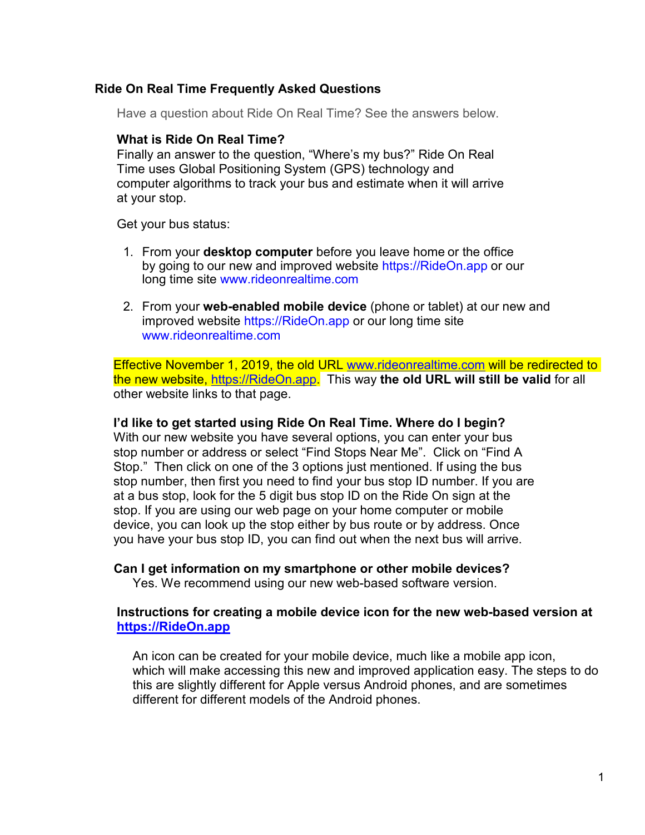# **Ride On Real Time Frequently Asked Questions**

Have a question about Ride On Real Time? See the answers below.

#### **What is Ride On Real Time?**

Finally an answer to the question, "Where's my bus?" Ride On Real Time uses Global Positioning System (GPS) technology and computer algorithms to track your bus and estimate when it will arrive at your stop.

Get your bus status:

- 1. From your **desktop computer** before you leave home or the office by going to our new and improved website https://RideOn.app or our long time site [www.rideonrealtime.com](http://www.rideonrealtime.com/)
- 2. From your **web-enabled mobile device** (phone or tablet) at our new and improved website https://RideOn.app or our long time site [www.rideonrealtime.com](http://www.rideonrealtime.com/)

Effective November 1, 2019, the old URL [www.rideonrealtime.com](http://www.rideonrealtime.com/) will be redirected to the new website, [https://RideOn.app.](https://rideon.app/) This way **the old URL will still be valid** for all other website links to that page.

## **I'd like to get started using Ride On Real Time. Where do I begin?**

With our new website you have several options, you can enter your bus stop number or address or select "Find Stops Near Me". Click on "Find A Stop." Then click on one of the 3 options just mentioned. If using the bus stop number, then first you need to find your bus stop ID number. If you are at a bus stop, look for the 5 digit bus stop ID on the Ride On sign at the stop. If you are using our web page on your home computer or mobile device, you can look up the stop either by bus route or by address. Once you have your bus stop ID, you can find out when the next bus will arrive.

# **Can I get information on my smartphone or other mobile devices?**

Yes. We recommend using our new web-based software version.

# **Instructions for creating a mobile device icon for the new web-based version at [https://RideOn.app](https://rideon.app/)**

An icon can be created for your mobile device, much like a mobile app icon, which will make accessing this new and improved application easy. The steps to do this are slightly different for Apple versus Android phones, and are sometimes different for different models of the Android phones.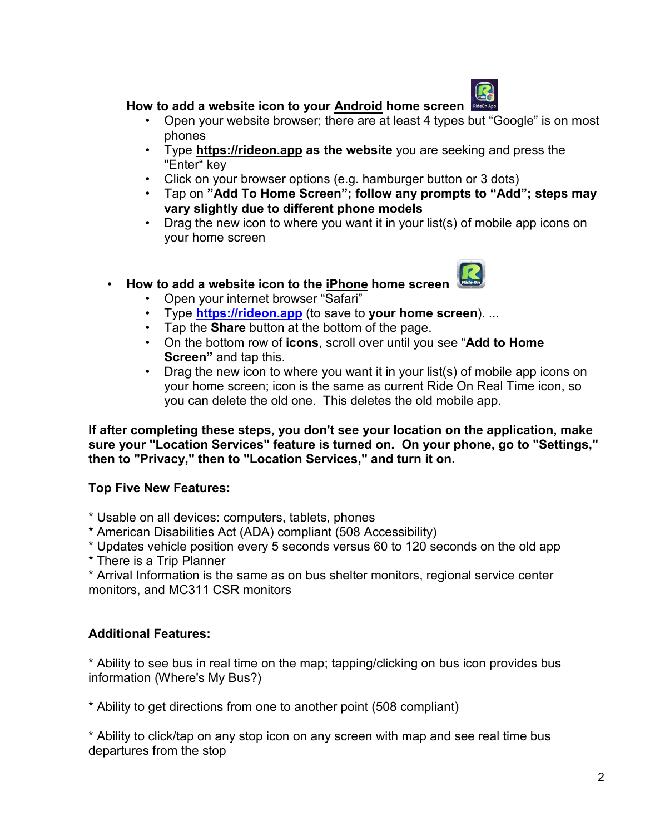

# **How to add a website icon to your Android home screen**

- Open your website browser; there are at least 4 types but "Google" is on most phones
- Type **https://rideon.app as the website** you are seeking and press the "Enter" key
- Click on your browser options (e.g. hamburger button or 3 dots)
- Tap on **"Add To Home Screen"; follow any prompts to "Add"; steps may vary slightly due to different phone models**
- Drag the new icon to where you want it in your list(s) of mobile app icons on your home screen

# • **How to add a website icon to the iPhone home screen**

- Open your internet browser "Safari"
- Type **[https://rideon.app](https://gcc01.safelinks.protection.outlook.com/?url=https://rideon.app/&data=02|01|Will.Kenlaw@montgomerycountymd.gov|20b77856210c4a65e64708d7481f6d1a|6e01b1f9b1e54073ac97778069a0ad64|0|0|637057172115468765&sdata=%2B15yWNqeBT8SRdY5MbTR8qzg7OTFjpbUknqSX0hzf6g%3D&reserved=0)** (to save to **your home screen**). ...
- Tap the **Share** button at the bottom of the page.
- On the bottom row of **icons**, scroll over until you see "**Add to Home Screen"** and tap this.
- Drag the new icon to where you want it in your list(s) of mobile app icons on your home screen; icon is the same as current Ride On Real Time icon, so you can delete the old one. This deletes the old mobile app.

**If after completing these steps, you don't see your location on the application, make sure your "Location Services" feature is turned on. On your phone, go to "Settings," then to "Privacy," then to "Location Services," and turn it on.**

# **Top Five New Features:**

- \* Usable on all devices: computers, tablets, phones
- \* American Disabilities Act (ADA) compliant (508 Accessibility)
- \* Updates vehicle position every 5 seconds versus 60 to 120 seconds on the old app
- \* There is a Trip Planner

\* Arrival Information is the same as on bus shelter monitors, regional service center monitors, and MC311 CSR monitors

# **Additional Features:**

\* Ability to see bus in real time on the map; tapping/clicking on bus icon provides bus information (Where's My Bus?)

\* Ability to get directions from one to another point (508 compliant)

\* Ability to click/tap on any stop icon on any screen with map and see real time bus departures from the stop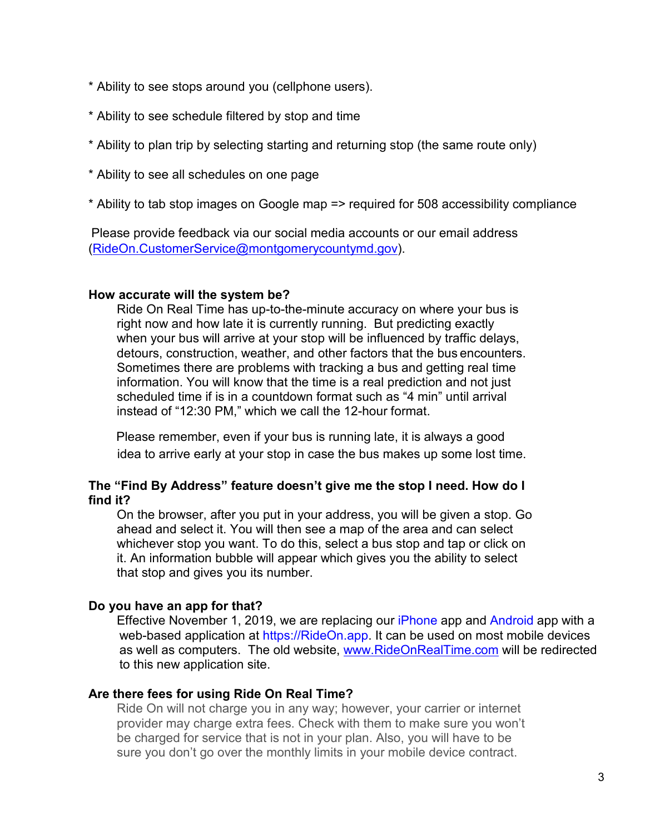- \* Ability to see stops around you (cellphone users).
- \* Ability to see schedule filtered by stop and time
- \* Ability to plan trip by selecting starting and returning stop (the same route only)
- \* Ability to see all schedules on one page
- \* Ability to tab stop images on Google map => required for 508 accessibility compliance

Please provide feedback via our social media accounts or our email address [\(RideOn.CustomerService@montgomerycountymd.gov\)](mailto:RideOn.CustomerService@montgomerycountymd.gov).

#### **How accurate will the system be?**

Ride On Real Time has up-to-the-minute accuracy on where your bus is right now and how late it is currently running. But predicting exactly when your bus will arrive at your stop will be influenced by traffic delays, detours, construction, weather, and other factors that the bus encounters. Sometimes there are problems with tracking a bus and getting real time information. You will know that the time is a real prediction and not just scheduled time if is in a countdown format such as "4 min" until arrival instead of "12:30 PM," which we call the 12-hour format.

Please remember, even if your bus is running late, it is always a good idea to arrive early at your stop in case the bus makes up some lost time.

### **The "Find By Address" feature doesn't give me the stop I need. How do I find it?**

On the browser, after you put in your address, you will be given a stop. Go ahead and select it. You will then see a map of the area and can select whichever stop you want. To do this, select a bus stop and tap or click on it. An information bubble will appear which gives you the ability to select that stop and gives you its number.

# **Do you have an app for that?**

Effective November 1, 2019, we are replacing our iPhone app and Android app with a web-based application at https://RideOn.app. It can be used on most mobile devices as well as computers. The old website, [www.RideOnRealTime.com](http://www.rideonrealtime.com/) will be redirected to this new application site.

#### **Are there fees for using Ride On Real Time?**

Ride On will not charge you in any way; however, your carrier or internet provider may charge extra fees. Check with them to make sure you won't be charged for service that is not in your plan. Also, you will have to be sure you don't go over the monthly limits in your mobile device contract.